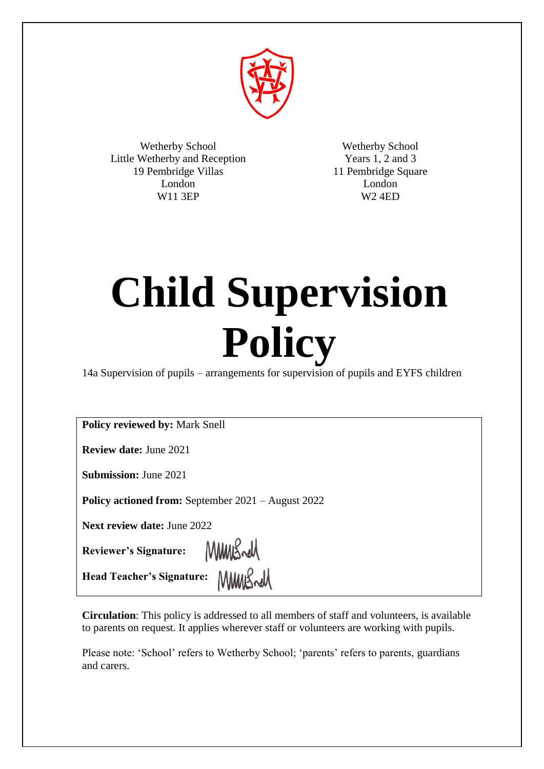

Wetherby School Little Wetherby and Reception 19 Pembridge Villas London W11 3EP

Wetherby School Years 1, 2 and 3 11 Pembridge Square London W2 4ED

# **Child Supervision Policy**

14a Supervision of pupils – arrangements for supervision of pupils and EYFS children

**Policy reviewed by:** Mark Snell

**Review date:** June 2021

**Submission:** June 2021

**Policy actioned from:** September 2021 – August 2022

**Next review date:** June 2022

**Reviewer's Signature:**

MMBrell

MMWSrd **Head Teacher's Signature:**

**Circulation**: This policy is addressed to all members of staff and volunteers, is available to parents on request. It applies wherever staff or volunteers are working with pupils.

Please note: 'School' refers to Wetherby School; 'parents' refers to parents, guardians and carers.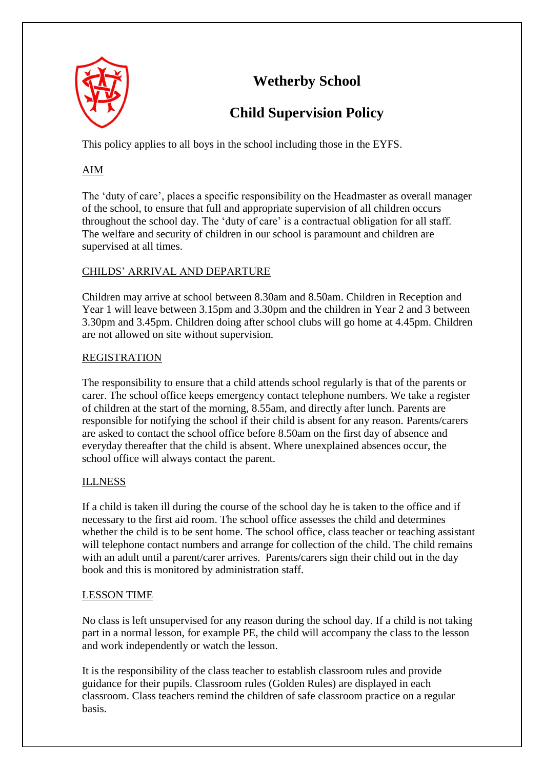

# **Wetherby School**

# **Child Supervision Policy**

This policy applies to all boys in the school including those in the EYFS.

# AIM

The 'duty of care', places a specific responsibility on the Headmaster as overall manager of the school, to ensure that full and appropriate supervision of all children occurs throughout the school day. The 'duty of care' is a contractual obligation for all staff. The welfare and security of children in our school is paramount and children are supervised at all times.

## CHILDS' ARRIVAL AND DEPARTURE

Children may arrive at school between 8.30am and 8.50am. Children in Reception and Year 1 will leave between 3.15pm and 3.30pm and the children in Year 2 and 3 between 3.30pm and 3.45pm. Children doing after school clubs will go home at 4.45pm. Children are not allowed on site without supervision.

### REGISTRATION

The responsibility to ensure that a child attends school regularly is that of the parents or carer. The school office keeps emergency contact telephone numbers. We take a register of children at the start of the morning, 8.55am, and directly after lunch. Parents are responsible for notifying the school if their child is absent for any reason. Parents/carers are asked to contact the school office before 8.50am on the first day of absence and everyday thereafter that the child is absent. Where unexplained absences occur, the school office will always contact the parent.

## ILLNESS

If a child is taken ill during the course of the school day he is taken to the office and if necessary to the first aid room. The school office assesses the child and determines whether the child is to be sent home. The school office, class teacher or teaching assistant will telephone contact numbers and arrange for collection of the child. The child remains with an adult until a parent/carer arrives. Parents/carers sign their child out in the day book and this is monitored by administration staff.

#### LESSON TIME

No class is left unsupervised for any reason during the school day. If a child is not taking part in a normal lesson, for example PE, the child will accompany the class to the lesson and work independently or watch the lesson.

It is the responsibility of the class teacher to establish classroom rules and provide guidance for their pupils. Classroom rules (Golden Rules) are displayed in each classroom. Class teachers remind the children of safe classroom practice on a regular basis.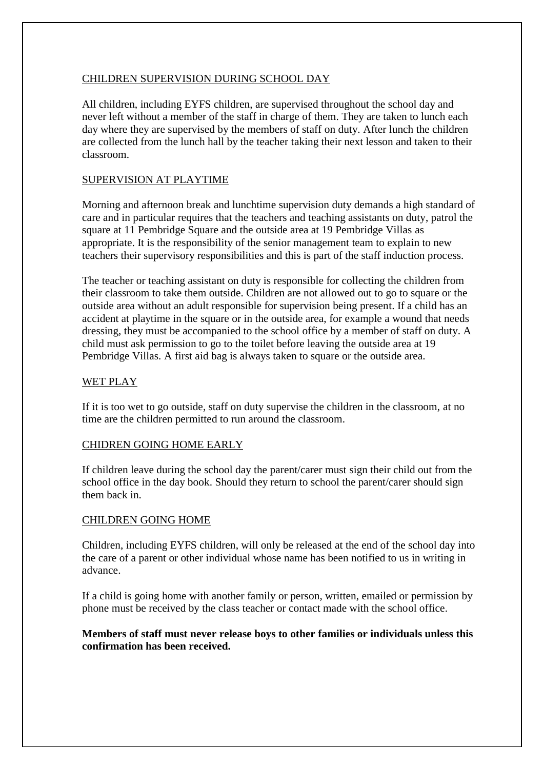#### CHILDREN SUPERVISION DURING SCHOOL DAY

All children, including EYFS children, are supervised throughout the school day and never left without a member of the staff in charge of them. They are taken to lunch each day where they are supervised by the members of staff on duty. After lunch the children are collected from the lunch hall by the teacher taking their next lesson and taken to their classroom.

#### SUPERVISION AT PLAYTIME

Morning and afternoon break and lunchtime supervision duty demands a high standard of care and in particular requires that the teachers and teaching assistants on duty, patrol the square at 11 Pembridge Square and the outside area at 19 Pembridge Villas as appropriate. It is the responsibility of the senior management team to explain to new teachers their supervisory responsibilities and this is part of the staff induction process.

The teacher or teaching assistant on duty is responsible for collecting the children from their classroom to take them outside. Children are not allowed out to go to square or the outside area without an adult responsible for supervision being present. If a child has an accident at playtime in the square or in the outside area, for example a wound that needs dressing, they must be accompanied to the school office by a member of staff on duty. A child must ask permission to go to the toilet before leaving the outside area at 19 Pembridge Villas. A first aid bag is always taken to square or the outside area.

#### WET PLAY

If it is too wet to go outside, staff on duty supervise the children in the classroom, at no time are the children permitted to run around the classroom.

#### CHIDREN GOING HOME EARLY

If children leave during the school day the parent/carer must sign their child out from the school office in the day book. Should they return to school the parent/carer should sign them back in.

#### CHILDREN GOING HOME

Children, including EYFS children, will only be released at the end of the school day into the care of a parent or other individual whose name has been notified to us in writing in advance.

If a child is going home with another family or person, written, emailed or permission by phone must be received by the class teacher or contact made with the school office.

#### **Members of staff must never release boys to other families or individuals unless this confirmation has been received.**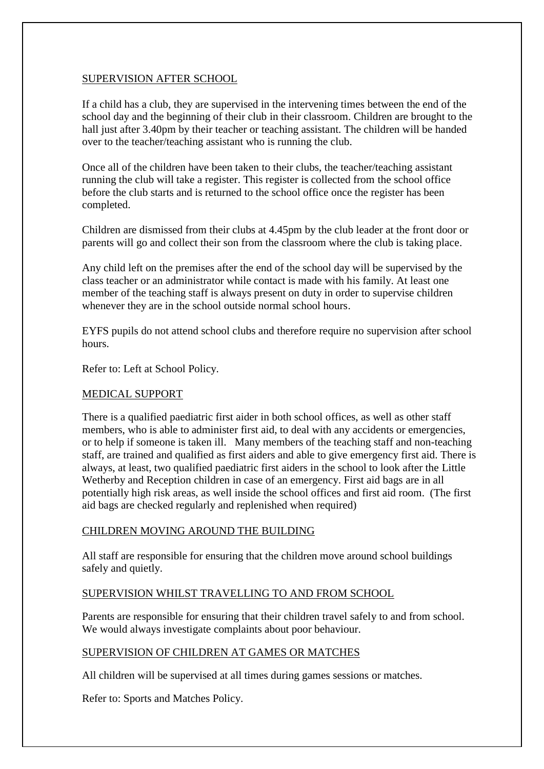#### SUPERVISION AFTER SCHOOL

If a child has a club, they are supervised in the intervening times between the end of the school day and the beginning of their club in their classroom. Children are brought to the hall just after 3.40pm by their teacher or teaching assistant. The children will be handed over to the teacher/teaching assistant who is running the club.

Once all of the children have been taken to their clubs, the teacher/teaching assistant running the club will take a register. This register is collected from the school office before the club starts and is returned to the school office once the register has been completed.

Children are dismissed from their clubs at 4.45pm by the club leader at the front door or parents will go and collect their son from the classroom where the club is taking place.

Any child left on the premises after the end of the school day will be supervised by the class teacher or an administrator while contact is made with his family. At least one member of the teaching staff is always present on duty in order to supervise children whenever they are in the school outside normal school hours.

EYFS pupils do not attend school clubs and therefore require no supervision after school hours.

Refer to: Left at School Policy.

#### MEDICAL SUPPORT

There is a qualified paediatric first aider in both school offices, as well as other staff members, who is able to administer first aid, to deal with any accidents or emergencies, or to help if someone is taken ill. Many members of the teaching staff and non-teaching staff, are trained and qualified as first aiders and able to give emergency first aid. There is always, at least, two qualified paediatric first aiders in the school to look after the Little Wetherby and Reception children in case of an emergency. First aid bags are in all potentially high risk areas, as well inside the school offices and first aid room. (The first aid bags are checked regularly and replenished when required)

#### CHILDREN MOVING AROUND THE BUILDING

All staff are responsible for ensuring that the children move around school buildings safely and quietly.

#### SUPERVISION WHILST TRAVELLING TO AND FROM SCHOOL

Parents are responsible for ensuring that their children travel safely to and from school. We would always investigate complaints about poor behaviour.

#### SUPERVISION OF CHILDREN AT GAMES OR MATCHES

All children will be supervised at all times during games sessions or matches.

Refer to: Sports and Matches Policy.